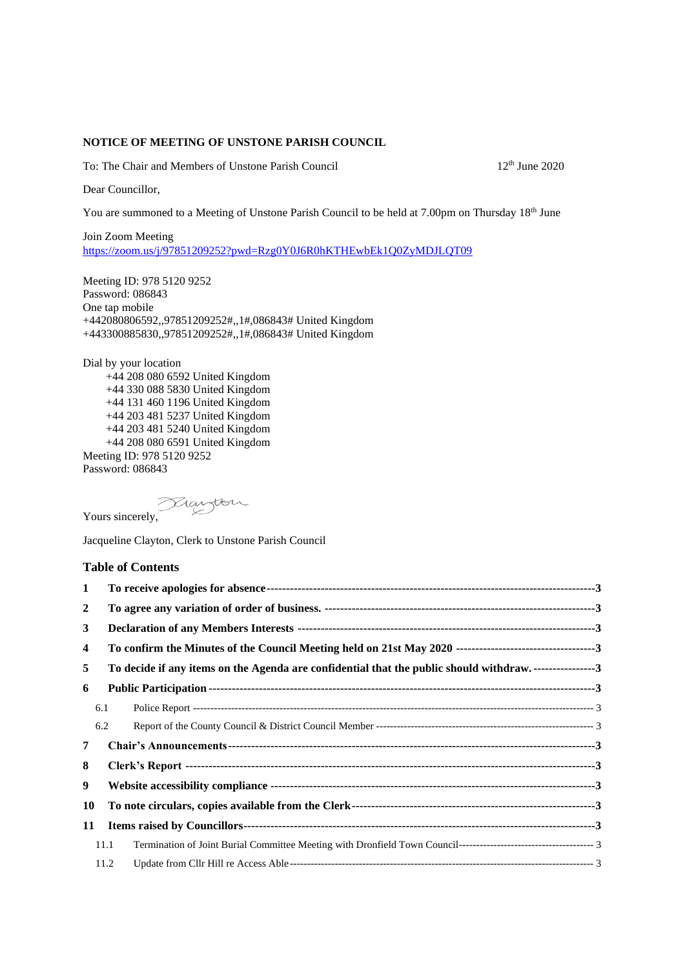## **NOTICE OF MEETING OF UNSTONE PARISH COUNCIL**

To: The Chair and Members of Unstone Parish Council 12<sup>th</sup> June 2020

Dear Councillor,

You are summoned to a Meeting of Unstone Parish Council to be held at 7.00pm on Thursday 18<sup>th</sup> June

Join Zoom Meeting <https://zoom.us/j/97851209252?pwd=Rzg0Y0J6R0hKTHEwbEk1Q0ZyMDJLQT09>

Meeting ID: 978 5120 9252 Password: 086843 One tap mobile +442080806592,,97851209252#,,1#,086843# United Kingdom +443300885830,,97851209252#,,1#,086843# United Kingdom

Dial by your location +44 208 080 6592 United Kingdom +44 330 088 5830 United Kingdom +44 131 460 1196 United Kingdom +44 203 481 5237 United Kingdom +44 203 481 5240 United Kingdom +44 208 080 6591 United Kingdom Meeting ID: 978 5120 9252 Password: 086843

Yours sincerely,

Jacqueline Clayton, Clerk to Unstone Parish Council

## **Table of Contents**

| 1              |      |                                                                                        |  |
|----------------|------|----------------------------------------------------------------------------------------|--|
| $\overline{2}$ |      |                                                                                        |  |
| 3              |      |                                                                                        |  |
| 4              |      |                                                                                        |  |
| 5              |      | To decide if any items on the Agenda are confidential that the public should withdraw3 |  |
| 6              |      |                                                                                        |  |
|                | 6.1  |                                                                                        |  |
|                | 6.2  |                                                                                        |  |
| 7              |      |                                                                                        |  |
| 8              |      |                                                                                        |  |
| 9              |      |                                                                                        |  |
| 10             |      |                                                                                        |  |
| 11             |      |                                                                                        |  |
|                | 11.1 |                                                                                        |  |
|                | 11.2 |                                                                                        |  |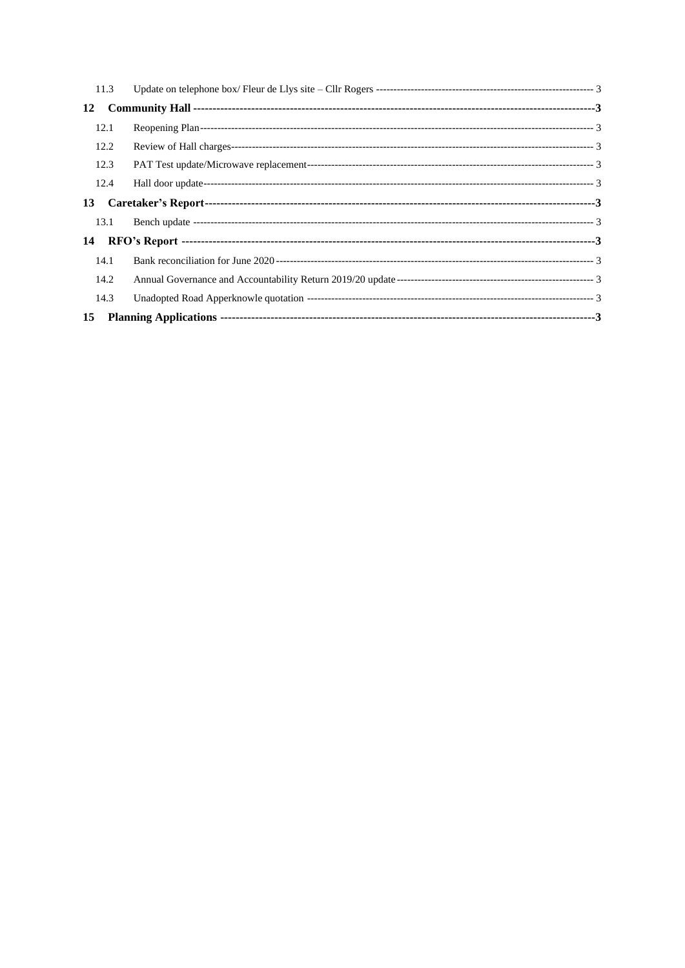| 11.3 |  |  |  |  |  |  |
|------|--|--|--|--|--|--|
| 12   |  |  |  |  |  |  |
| 12.1 |  |  |  |  |  |  |
| 12.2 |  |  |  |  |  |  |
| 12.3 |  |  |  |  |  |  |
| 12.4 |  |  |  |  |  |  |
| 13   |  |  |  |  |  |  |
| 13.1 |  |  |  |  |  |  |
| 14   |  |  |  |  |  |  |
| 14.1 |  |  |  |  |  |  |
| 14.2 |  |  |  |  |  |  |
| 14.3 |  |  |  |  |  |  |
| 15   |  |  |  |  |  |  |